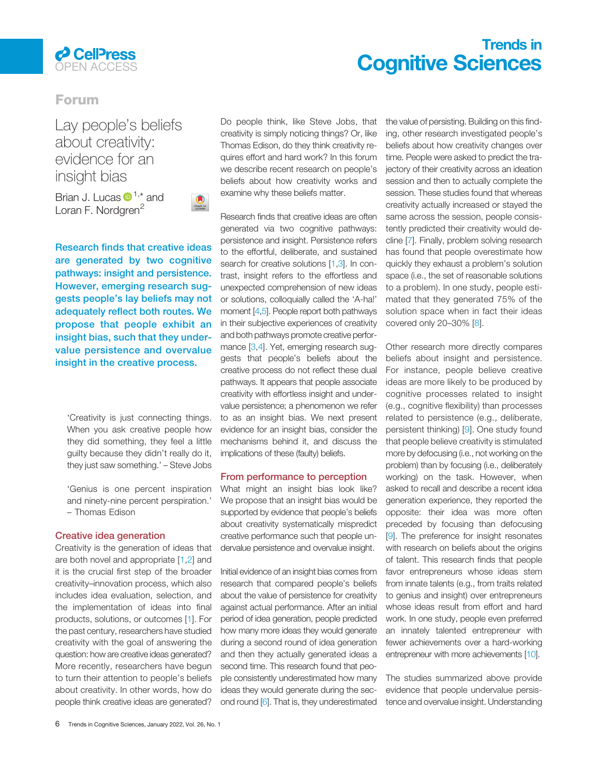

# Trends in **Cognitive Sciences Cognitive Sciences**

# Forum

Lay people's beliefs about creativity: evidence for an insight bias

Brian J. Lucas  $\mathbf{D}^{1,*}$  $\mathbf{D}^{1,*}$  $\mathbf{D}^{1,*}$  $\mathbf{D}^{1,*}$  and Loran F. Nordgren<sup>[2](#page-1-0)</sup>



Research finds that creative ideas are generated by two cognitive pathways: insight and persistence. However, emerging research suggests people's lay beliefs may not adequately reflect both routes. We propose that people exhibit an insight bias, such that they undervalue persistence and overvalue insight in the creative process.

'Creativity is just connecting things. When you ask creative people how they did something, they feel a little guilty because they didn't really do it, they just saw something.' – Steve Jobs

'Genius is one percent inspiration and ninety-nine percent perspiration.' – Thomas Edison

# Creative idea generation

Creativity is the generation of ideas that are both novel and appropriate [\[1,2](#page-1-0)] and it is the crucial first step of the broader creativity–innovation process, which also includes idea evaluation, selection, and the implementation of ideas into final products, solutions, or outcomes [[1\]](#page-1-0). For the past century, researchers have studied creativity with the goal of answering the question: how are creative ideas generated? More recently, researchers have begun to turn their attention to people's beliefs about creativity. In other words, how do people think creative ideas are generated?

Do people think, like Steve Jobs, that creativity is simply noticing things? Or, like Thomas Edison, do they think creativity requires effort and hard work? In this forum we describe recent research on people's beliefs about how creativity works and examine why these beliefs matter.

Research finds that creative ideas are often generated via two cognitive pathways: persistence and insight. Persistence refers to the effortful, deliberate, and sustained search for creative solutions [[1,3\].](#page-1-0) In contrast, insight refers to the effortless and unexpected comprehension of new ideas or solutions, colloquially called the 'A-ha!' moment [\[4,5\].](#page-1-0) People report both pathways in their subjective experiences of creativity and both pathways promote creative performance [\[3,4\]](#page-1-0). Yet, emerging research suggests that people's beliefs about the creative process do not reflect these dual pathways. It appears that people associate creativity with effortless insight and undervalue persistence; a phenomenon we refer to as an insight bias. We next present evidence for an insight bias, consider the mechanisms behind it, and discuss the implications of these (faulty) beliefs.

### From performance to perception

What might an insight bias look like? We propose that an insight bias would be supported by evidence that people's beliefs about creativity systematically mispredict creative performance such that people undervalue persistence and overvalue insight.

Initial evidence of an insight bias comes from research that compared people's beliefs about the value of persistence for creativity against actual performance. After an initial period of idea generation, people predicted how many more ideas they would generate during a second round of idea generation and then they actually generated ideas a second time. This research found that people consistently underestimated how many ideas they would generate during the second round [[6\]](#page-1-0). That is, they underestimated

the value of persisting. Building on this finding, other research investigated people's beliefs about how creativity changes over time. People were asked to predict the trajectory of their creativity across an ideation session and then to actually complete the session. These studies found that whereas creativity actually increased or stayed the same across the session, people consistently predicted their creativity would decline [\[7](#page-1-0)]. Finally, problem solving research has found that people overestimate how quickly they exhaust a problem's solution space (i.e., the set of reasonable solutions to a problem). In one study, people estimated that they generated 75% of the solution space when in fact their ideas covered only 20–30% [[8\]](#page-1-0).

Other research more directly compares beliefs about insight and persistence. For instance, people believe creative ideas are more likely to be produced by cognitive processes related to insight (e.g., cognitive flexibility) than processes related to persistence (e.g., deliberate, persistent thinking) [[9\]](#page-1-0). One study found that people believe creativity is stimulated more by defocusing (i.e., not working on the problem) than by focusing (i.e., deliberately working) on the task. However, when asked to recall and describe a recent idea generation experience, they reported the opposite: their idea was more often preceded by focusing than defocusing [\[9](#page-1-0)]. The preference for insight resonates with research on beliefs about the origins of talent. This research finds that people favor entrepreneurs whose ideas stem from innate talents (e.g., from traits related to genius and insight) over entrepreneurs whose ideas result from effort and hard work. In one study, people even preferred an innately talented entrepreneur with fewer achievements over a hard-working entrepreneur with more achievements [\[10\]](#page-1-0).

The studies summarized above provide evidence that people undervalue persistence and overvalue insight. Understanding